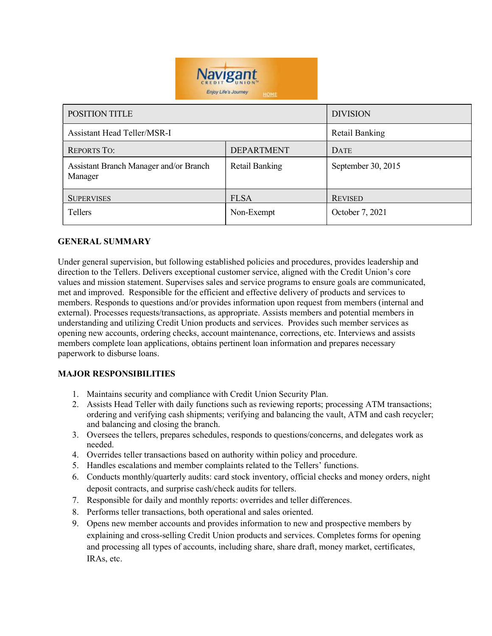

| <b>POSITION TITLE</b>                             |                   | <b>DIVISION</b>    |
|---------------------------------------------------|-------------------|--------------------|
| <b>Assistant Head Teller/MSR-I</b>                |                   | Retail Banking     |
| <b>REPORTS TO:</b>                                | <b>DEPARTMENT</b> | <b>DATE</b>        |
| Assistant Branch Manager and/or Branch<br>Manager | Retail Banking    | September 30, 2015 |
| <b>SUPERVISES</b>                                 | <b>FLSA</b>       | <b>REVISED</b>     |
| <b>Tellers</b>                                    | Non-Exempt        | October 7, 2021    |

### GENERAL SUMMARY

Under general supervision, but following established policies and procedures, provides leadership and direction to the Tellers. Delivers exceptional customer service, aligned with the Credit Union's core values and mission statement. Supervises sales and service programs to ensure goals are communicated, met and improved. Responsible for the efficient and effective delivery of products and services to members. Responds to questions and/or provides information upon request from members (internal and external). Processes requests/transactions, as appropriate. Assists members and potential members in understanding and utilizing Credit Union products and services. Provides such member services as opening new accounts, ordering checks, account maintenance, corrections, etc. Interviews and assists members complete loan applications, obtains pertinent loan information and prepares necessary paperwork to disburse loans.

# MAJOR RESPONSIBILITIES

- 1. Maintains security and compliance with Credit Union Security Plan.
- 2. Assists Head Teller with daily functions such as reviewing reports; processing ATM transactions; ordering and verifying cash shipments; verifying and balancing the vault, ATM and cash recycler; and balancing and closing the branch.
- 3. Oversees the tellers, prepares schedules, responds to questions/concerns, and delegates work as needed.
- 4. Overrides teller transactions based on authority within policy and procedure.
- 5. Handles escalations and member complaints related to the Tellers' functions.
- 6. Conducts monthly/quarterly audits: card stock inventory, official checks and money orders, night deposit contracts, and surprise cash/check audits for tellers.
- 7. Responsible for daily and monthly reports: overrides and teller differences.
- 8. Performs teller transactions, both operational and sales oriented.
- 9. Opens new member accounts and provides information to new and prospective members by explaining and cross-selling Credit Union products and services. Completes forms for opening and processing all types of accounts, including share, share draft, money market, certificates, IRAs, etc.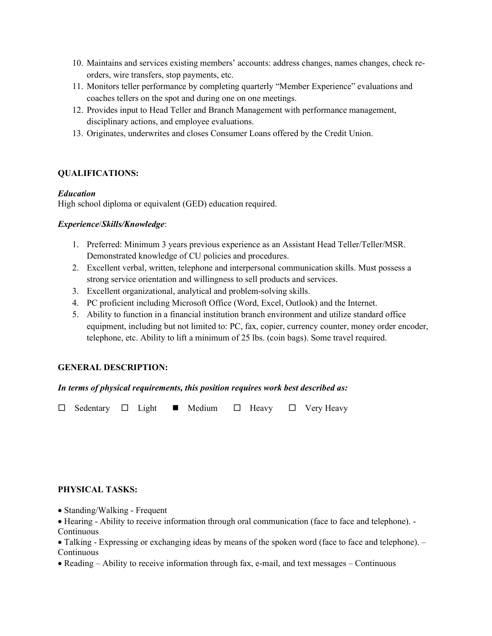- 10. Maintains and services existing members' accounts: address changes, names changes, check reorders, wire transfers, stop payments, etc.
- 11. Monitors teller performance by completing quarterly "Member Experience" evaluations and coaches tellers on the spot and during one on one meetings.
- 12. Provides input to Head Teller and Branch Management with performance management, disciplinary actions, and employee evaluations.
- 13. Originates, underwrites and closes Consumer Loans offered by the Credit Union.

### QUALIFICATIONS:

### Education

High school diploma or equivalent (GED) education required.

### Experience/Skills/Knowledge:

- 1. Preferred: Minimum 3 years previous experience as an Assistant Head Teller/Teller/MSR. Demonstrated knowledge of CU policies and procedures.
- 2. Excellent verbal, written, telephone and interpersonal communication skills. Must possess a strong service orientation and willingness to sell products and services.
- 3. Excellent organizational, analytical and problem-solving skills.
- 4. PC proficient including Microsoft Office (Word, Excel, Outlook) and the Internet.
- 5. Ability to function in a financial institution branch environment and utilize standard office equipment, including but not limited to: PC, fax, copier, currency counter, money order encoder, telephone, etc. Ability to lift a minimum of 25 lbs. (coin bags). Some travel required.

# GENERAL DESCRIPTION:

### In terms of physical requirements, this position requires work best described as:

 $\Box$  Sedentary  $\Box$  Light  $\blacksquare$  Medium  $\Box$  Heavy  $\Box$  Very Heavy

### PHYSICAL TASKS:

- Standing/Walking Frequent
- Hearing Ability to receive information through oral communication (face to face and telephone). Continuous
- Talking Expressing or exchanging ideas by means of the spoken word (face to face and telephone). Continuous
- Reading Ability to receive information through fax, e-mail, and text messages Continuous